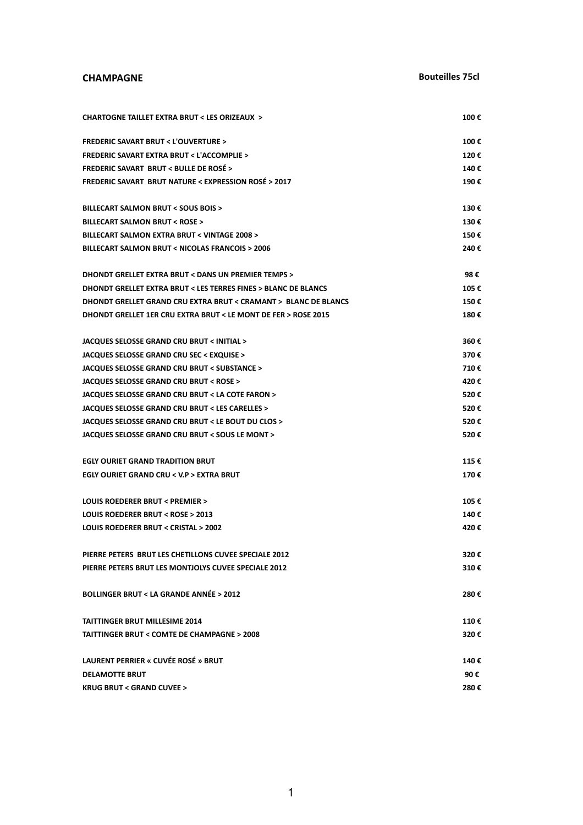# **CHAMPAGNE** Bouteilles 75cl

| <b>CHARTOGNE TAILLET EXTRA BRUT &lt; LES ORIZEAUX &gt;</b>                   | 100€ |
|------------------------------------------------------------------------------|------|
| <b>FREDERIC SAVART BRUT &lt; L'OUVERTURE &gt;</b>                            | 100€ |
| <b>FREDERIC SAVART EXTRA BRUT &lt; L'ACCOMPLIE &gt;</b>                      | 120€ |
| <b>FREDERIC SAVART BRUT &lt; BULLE DE ROSÉ &gt;</b>                          | 140€ |
| FREDERIC SAVART BRUT NATURE < EXPRESSION ROSE > 2017                         | 190€ |
| BILLECART SALMON BRUT < SOUS BOIS >                                          | 130€ |
| BILLECART SALMON BRUT < ROSE >                                               | 130€ |
| BILLECART SALMON EXTRA BRUT < VINTAGE 2008 >                                 | 150€ |
| BILLECART SALMON BRUT < NICOLAS FRANCOIS > 2006                              | 240€ |
| <b>DHONDT GRELLET EXTRA BRUT &lt; DANS UN PREMIER TEMPS &gt;</b>             | 98€  |
| <b>DHONDT GRELLET EXTRA BRUT &lt; LES TERRES FINES &gt; BLANC DE BLANCS</b>  | 105€ |
| <b>DHONDT GRELLET GRAND CRU EXTRA BRUT &lt; CRAMANT &gt; BLANC DE BLANCS</b> | 150€ |
| DHONDT GRELLET 1ER CRU EXTRA BRUT < LE MONT DE FER > ROSE 2015               | 180€ |
| <b>JACQUES SELOSSE GRAND CRU BRUT &lt; INITIAL &gt;</b>                      | 360€ |
| JACQUES SELOSSE GRAND CRU SEC < EXQUISE >                                    | 370€ |
| JACQUES SELOSSE GRAND CRU BRUT < SUBSTANCE >                                 | 710€ |
| <b>JACQUES SELOSSE GRAND CRU BRUT &lt; ROSE &gt;</b>                         | 420€ |
| JACQUES SELOSSE GRAND CRU BRUT < LA COTE FARON >                             | 520€ |
| JACQUES SELOSSE GRAND CRU BRUT < LES CARELLES >                              | 520€ |
| JACQUES SELOSSE GRAND CRU BRUT < LE BOUT DU CLOS >                           | 520€ |
| JACQUES SELOSSE GRAND CRU BRUT < SOUS LE MONT >                              | 520€ |
| <b>EGLY OURIET GRAND TRADITION BRUT</b>                                      | 115€ |
| EGLY OURIET GRAND CRU < V.P > EXTRA BRUT                                     | 170€ |
| LOUIS ROEDERER BRUT < PREMIER >                                              | 105€ |
| LOUIS ROEDERER BRUT < ROSE > 2013                                            | 140€ |
| <b>LOUIS ROEDERER BRUT &lt; CRISTAL &gt; 2002</b>                            | 420€ |
| PIERRE PETERS BRUT LES CHETILLONS CUVEE SPECIALE 2012                        | 320€ |
| PIERRE PETERS BRUT LES MONTJOLYS CUVEE SPECIALE 2012                         | 310€ |
| <b>BOLLINGER BRUT &lt; LA GRANDE ANNÉE &gt; 2012</b>                         | 280€ |
| <b>TAITTINGER BRUT MILLESIME 2014</b>                                        | 110€ |
| <b>TAITTINGER BRUT &lt; COMTE DE CHAMPAGNE &gt; 2008</b>                     | 320€ |
| LAURENT PERRIER « CUVÉE ROSÉ » BRUT                                          | 140€ |
| <b>DELAMOTTE BRUT</b>                                                        | 90€  |
| <b>KRUG BRUT &lt; GRAND CUVEE &gt;</b>                                       | 280€ |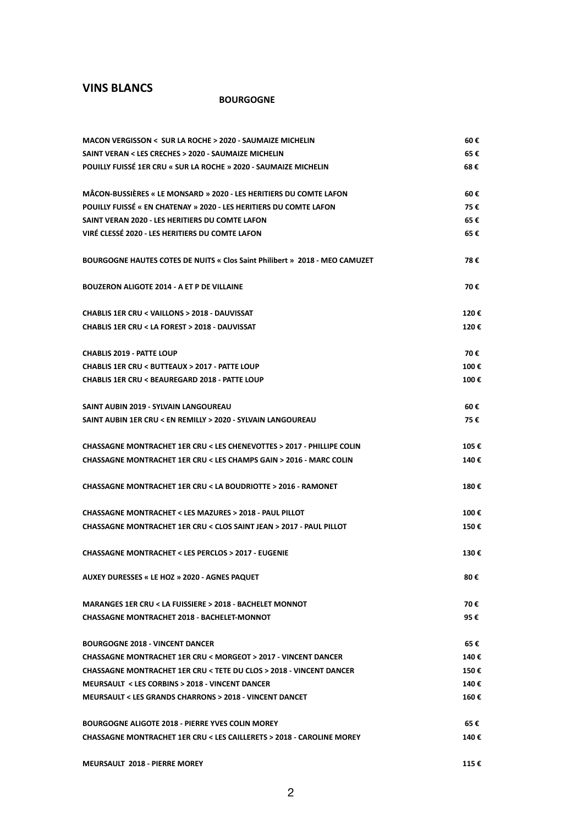# **VINS BLANCS**

#### **BOURGOGNE**

| <b>MACON VERGISSON &lt; SUR LA ROCHE &gt; 2020 - SAUMAIZE MICHELIN</b>             | 60 € |
|------------------------------------------------------------------------------------|------|
| SAINT VERAN < LES CRECHES > 2020 - SAUMAIZE MICHELIN                               | 65€  |
| POUILLY FUISSÉ 1ER CRU « SUR LA ROCHE » 2020 - SAUMAIZE MICHELIN                   | 68€  |
|                                                                                    |      |
| MÂCON-BUSSIÈRES « LE MONSARD » 2020 - LES HERITIERS DU COMTE LAFON                 | 60€  |
| <b>POUILLY FUISSE « EN CHATENAY » 2020 - LES HERITIERS DU COMTE LAFON</b>          | 75€  |
| SAINT VERAN 2020 - LES HERITIERS DU COMTE LAFON                                    | 65€  |
| VIRÉ CLESSÉ 2020 - LES HERITIERS DU COMTE LAFON                                    | 65€  |
| <b>BOURGOGNE HAUTES COTES DE NUITS « Clos Saint Philibert » 2018 - MEO CAMUZET</b> | 78 € |
| <b>BOUZERON ALIGOTE 2014 - A ET P DE VILLAINE</b>                                  | 70 € |
| <b>CHABLIS 1ER CRU &lt; VAILLONS &gt; 2018 - DAUVISSAT</b>                         | 120€ |
| <b>CHABLIS 1ER CRU &lt; LA FOREST &gt; 2018 - DAUVISSAT</b>                        | 120€ |
| <b>CHABLIS 2019 - PATTE LOUP</b>                                                   | 70€  |
| <b>CHABLIS 1ER CRU &lt; BUTTEAUX &gt; 2017 - PATTE LOUP</b>                        | 100€ |
| CHABLIS 1ER CRU < BEAUREGARD 2018 - PATTE LOUP                                     | 100€ |
|                                                                                    |      |
| SAINT AUBIN 2019 - SYLVAIN LANGOUREAU                                              | 60€  |
| SAINT AUBIN 1ER CRU < EN REMILLY > 2020 - SYLVAIN LANGOUREAU                       | 75€  |
| CHASSAGNE MONTRACHET 1ER CRU < LES CHENEVOTTES > 2017 - PHILLIPE COLIN             | 105€ |
| CHASSAGNE MONTRACHET 1ER CRU < LES CHAMPS GAIN > 2016 - MARC COLIN                 | 140€ |
|                                                                                    |      |
| CHASSAGNE MONTRACHET 1ER CRU < LA BOUDRIOTTE > 2016 - RAMONET                      | 180€ |
|                                                                                    |      |
| <b>CHASSAGNE MONTRACHET &lt; LES MAZURES &gt; 2018 - PAUL PILLOT</b>               | 100€ |
| CHASSAGNE MONTRACHET 1ER CRU < CLOS SAINT JEAN > 2017 - PAUL PILLOT                | 150€ |
| <b>CHASSAGNE MONTRACHET &lt; LES PERCLOS &gt; 2017 - EUGENIE</b>                   | 130€ |
|                                                                                    |      |
| AUXEY DURESSES « LE HOZ » 2020 - AGNES PAQUET                                      | 80€  |
| MARANGES 1ER CRU < LA FUISSIERE > 2018 - BACHELET MONNOT                           | 70€  |
| <b>CHASSAGNE MONTRACHET 2018 - BACHELET-MONNOT</b>                                 | 95 € |
| <b>BOURGOGNE 2018 - VINCENT DANCER</b>                                             | 65 € |
| CHASSAGNE MONTRACHET 1ER CRU < MORGEOT > 2017 - VINCENT DANCER                     | 140€ |
| CHASSAGNE MONTRACHET 1ER CRU < TETE DU CLOS > 2018 - VINCENT DANCER                | 150€ |
| MEURSAULT < LES CORBINS > 2018 - VINCENT DANCER                                    | 140€ |
| <b>MEURSAULT &lt; LES GRANDS CHARRONS &gt; 2018 - VINCENT DANCET</b>               | 160€ |
|                                                                                    |      |
| <b>BOURGOGNE ALIGOTE 2018 - PIERRE YVES COLIN MOREY</b>                            | 65 € |
| CHASSAGNE MONTRACHET 1ER CRU < LES CAILLERETS > 2018 - CAROLINE MOREY              | 140€ |
| <b>MEURSAULT 2018 - PIERRE MOREY</b>                                               | 115€ |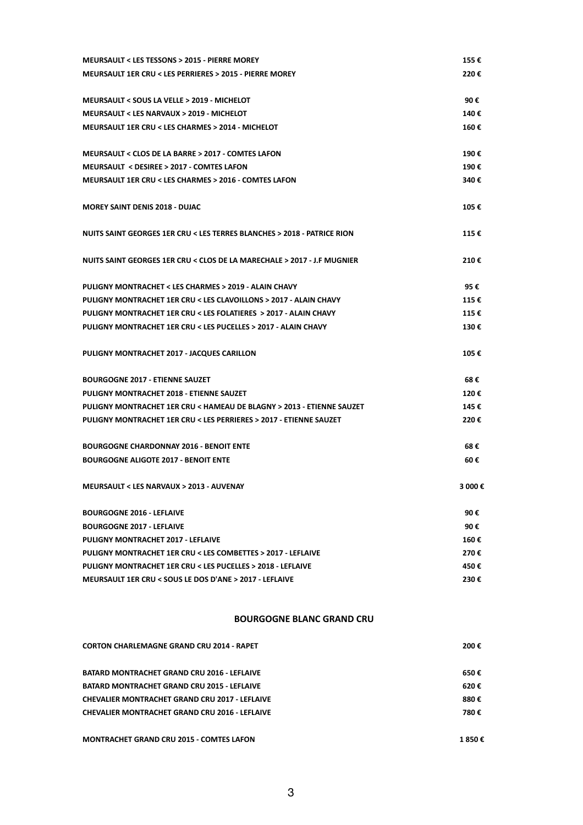| MEURSAULT 1ER CRU < LES PERRIERES > 2015 - PIERRE MOREY<br>220€<br>90€<br><b>MEURSAULT &lt; SOUS LA VELLE &gt; 2019 - MICHELOT</b><br>MEURSAULT < LES NARVAUX > 2019 - MICHELOT<br>140€<br>MEURSAULT 1ER CRU < LES CHARMES > 2014 - MICHELOT<br>160€<br>MEURSAULT < CLOS DE LA BARRE > 2017 - COMTES LAFON<br>190€<br>MEURSAULT < DESIREE > 2017 - COMTES LAFON<br>190€<br><b>MEURSAULT 1ER CRU &lt; LES CHARMES &gt; 2016 - COMTES LAFON</b><br>340€<br>105€<br><b>MOREY SAINT DENIS 2018 - DUJAC</b><br>NUITS SAINT GEORGES 1ER CRU < LES TERRES BLANCHES > 2018 - PATRICE RION<br>115€<br>NUITS SAINT GEORGES 1ER CRU < CLOS DE LA MARECHALE > 2017 - J.F MUGNIER<br>210€<br>PULIGNY MONTRACHET < LES CHARMES > 2019 - ALAIN CHAVY<br>95€<br>PULIGNY MONTRACHET 1ER CRU < LES CLAVOILLONS > 2017 - ALAIN CHAVY<br>115€<br>PULIGNY MONTRACHET 1ER CRU < LES FOLATIERES > 2017 - ALAIN CHAVY<br>115€<br>PULIGNY MONTRACHET 1ER CRU < LES PUCELLES > 2017 - ALAIN CHAVY<br>130€<br>105€<br>PULIGNY MONTRACHET 2017 - JACQUES CARILLON |
|---------------------------------------------------------------------------------------------------------------------------------------------------------------------------------------------------------------------------------------------------------------------------------------------------------------------------------------------------------------------------------------------------------------------------------------------------------------------------------------------------------------------------------------------------------------------------------------------------------------------------------------------------------------------------------------------------------------------------------------------------------------------------------------------------------------------------------------------------------------------------------------------------------------------------------------------------------------------------------------------------------------------------------------|
|                                                                                                                                                                                                                                                                                                                                                                                                                                                                                                                                                                                                                                                                                                                                                                                                                                                                                                                                                                                                                                       |
|                                                                                                                                                                                                                                                                                                                                                                                                                                                                                                                                                                                                                                                                                                                                                                                                                                                                                                                                                                                                                                       |
|                                                                                                                                                                                                                                                                                                                                                                                                                                                                                                                                                                                                                                                                                                                                                                                                                                                                                                                                                                                                                                       |
|                                                                                                                                                                                                                                                                                                                                                                                                                                                                                                                                                                                                                                                                                                                                                                                                                                                                                                                                                                                                                                       |
|                                                                                                                                                                                                                                                                                                                                                                                                                                                                                                                                                                                                                                                                                                                                                                                                                                                                                                                                                                                                                                       |
|                                                                                                                                                                                                                                                                                                                                                                                                                                                                                                                                                                                                                                                                                                                                                                                                                                                                                                                                                                                                                                       |
|                                                                                                                                                                                                                                                                                                                                                                                                                                                                                                                                                                                                                                                                                                                                                                                                                                                                                                                                                                                                                                       |
|                                                                                                                                                                                                                                                                                                                                                                                                                                                                                                                                                                                                                                                                                                                                                                                                                                                                                                                                                                                                                                       |
|                                                                                                                                                                                                                                                                                                                                                                                                                                                                                                                                                                                                                                                                                                                                                                                                                                                                                                                                                                                                                                       |
|                                                                                                                                                                                                                                                                                                                                                                                                                                                                                                                                                                                                                                                                                                                                                                                                                                                                                                                                                                                                                                       |
|                                                                                                                                                                                                                                                                                                                                                                                                                                                                                                                                                                                                                                                                                                                                                                                                                                                                                                                                                                                                                                       |
|                                                                                                                                                                                                                                                                                                                                                                                                                                                                                                                                                                                                                                                                                                                                                                                                                                                                                                                                                                                                                                       |
|                                                                                                                                                                                                                                                                                                                                                                                                                                                                                                                                                                                                                                                                                                                                                                                                                                                                                                                                                                                                                                       |
|                                                                                                                                                                                                                                                                                                                                                                                                                                                                                                                                                                                                                                                                                                                                                                                                                                                                                                                                                                                                                                       |
|                                                                                                                                                                                                                                                                                                                                                                                                                                                                                                                                                                                                                                                                                                                                                                                                                                                                                                                                                                                                                                       |
|                                                                                                                                                                                                                                                                                                                                                                                                                                                                                                                                                                                                                                                                                                                                                                                                                                                                                                                                                                                                                                       |
|                                                                                                                                                                                                                                                                                                                                                                                                                                                                                                                                                                                                                                                                                                                                                                                                                                                                                                                                                                                                                                       |
|                                                                                                                                                                                                                                                                                                                                                                                                                                                                                                                                                                                                                                                                                                                                                                                                                                                                                                                                                                                                                                       |
|                                                                                                                                                                                                                                                                                                                                                                                                                                                                                                                                                                                                                                                                                                                                                                                                                                                                                                                                                                                                                                       |
|                                                                                                                                                                                                                                                                                                                                                                                                                                                                                                                                                                                                                                                                                                                                                                                                                                                                                                                                                                                                                                       |
|                                                                                                                                                                                                                                                                                                                                                                                                                                                                                                                                                                                                                                                                                                                                                                                                                                                                                                                                                                                                                                       |
|                                                                                                                                                                                                                                                                                                                                                                                                                                                                                                                                                                                                                                                                                                                                                                                                                                                                                                                                                                                                                                       |
|                                                                                                                                                                                                                                                                                                                                                                                                                                                                                                                                                                                                                                                                                                                                                                                                                                                                                                                                                                                                                                       |
| 68€<br><b>BOURGOGNE 2017 - ETIENNE SAUZET</b>                                                                                                                                                                                                                                                                                                                                                                                                                                                                                                                                                                                                                                                                                                                                                                                                                                                                                                                                                                                         |
| PULIGNY MONTRACHET 2018 - ETIENNE SAUZET<br>120€                                                                                                                                                                                                                                                                                                                                                                                                                                                                                                                                                                                                                                                                                                                                                                                                                                                                                                                                                                                      |
| 145€<br>PULIGNY MONTRACHET 1ER CRU < HAMEAU DE BLAGNY > 2013 - ETIENNE SAUZET                                                                                                                                                                                                                                                                                                                                                                                                                                                                                                                                                                                                                                                                                                                                                                                                                                                                                                                                                         |
| PULIGNY MONTRACHET 1ER CRU < LES PERRIERES > 2017 - ETIENNE SAUZET<br>220€                                                                                                                                                                                                                                                                                                                                                                                                                                                                                                                                                                                                                                                                                                                                                                                                                                                                                                                                                            |
|                                                                                                                                                                                                                                                                                                                                                                                                                                                                                                                                                                                                                                                                                                                                                                                                                                                                                                                                                                                                                                       |
| 68€<br><b>BOURGOGNE CHARDONNAY 2016 - BENOIT ENTE</b>                                                                                                                                                                                                                                                                                                                                                                                                                                                                                                                                                                                                                                                                                                                                                                                                                                                                                                                                                                                 |
| <b>BOURGOGNE ALIGOTE 2017 - BENOIT ENTE</b><br>60€                                                                                                                                                                                                                                                                                                                                                                                                                                                                                                                                                                                                                                                                                                                                                                                                                                                                                                                                                                                    |
|                                                                                                                                                                                                                                                                                                                                                                                                                                                                                                                                                                                                                                                                                                                                                                                                                                                                                                                                                                                                                                       |
| MEURSAULT < LES NARVAUX > 2013 - AUVENAY<br>3 000€                                                                                                                                                                                                                                                                                                                                                                                                                                                                                                                                                                                                                                                                                                                                                                                                                                                                                                                                                                                    |
|                                                                                                                                                                                                                                                                                                                                                                                                                                                                                                                                                                                                                                                                                                                                                                                                                                                                                                                                                                                                                                       |
| <b>BOURGOGNE 2016 - LEFLAIVE</b><br>90€                                                                                                                                                                                                                                                                                                                                                                                                                                                                                                                                                                                                                                                                                                                                                                                                                                                                                                                                                                                               |
| <b>BOURGOGNE 2017 - LEFLAIVE</b><br>90€                                                                                                                                                                                                                                                                                                                                                                                                                                                                                                                                                                                                                                                                                                                                                                                                                                                                                                                                                                                               |
| <b>PULIGNY MONTRACHET 2017 - LEFLAIVE</b><br>160€                                                                                                                                                                                                                                                                                                                                                                                                                                                                                                                                                                                                                                                                                                                                                                                                                                                                                                                                                                                     |
| PULIGNY MONTRACHET 1ER CRU < LES COMBETTES > 2017 - LEFLAIVE<br>270€                                                                                                                                                                                                                                                                                                                                                                                                                                                                                                                                                                                                                                                                                                                                                                                                                                                                                                                                                                  |
| PULIGNY MONTRACHET 1ER CRU < LES PUCELLES > 2018 - LEFLAIVE<br>450€                                                                                                                                                                                                                                                                                                                                                                                                                                                                                                                                                                                                                                                                                                                                                                                                                                                                                                                                                                   |
| MEURSAULT 1ER CRU < SOUS LE DOS D'ANE > 2017 - LEFLAIVE<br>230€                                                                                                                                                                                                                                                                                                                                                                                                                                                                                                                                                                                                                                                                                                                                                                                                                                                                                                                                                                       |

#### **BOURGOGNE BLANC GRAND CRU**

| <b>CORTON CHARLEMAGNE GRAND CRU 2014 - RAPET</b>      | 200 €   |
|-------------------------------------------------------|---------|
| <b>BATARD MONTRACHET GRAND CRU 2016 - LEFLAIVE</b>    | 650 €   |
| <b>BATARD MONTRACHET GRAND CRU 2015 - LEFLAIVE</b>    | 620€    |
| <b>CHEVALIER MONTRACHET GRAND CRU 2017 - LEFLAIVE</b> | 880€    |
| <b>CHEVALIER MONTRACHET GRAND CRU 2016 - LEFLAIVE</b> | 780 €   |
| <b>MONTRACHET GRAND CRU 2015 - COMTES LAFON</b>       | 1 850 € |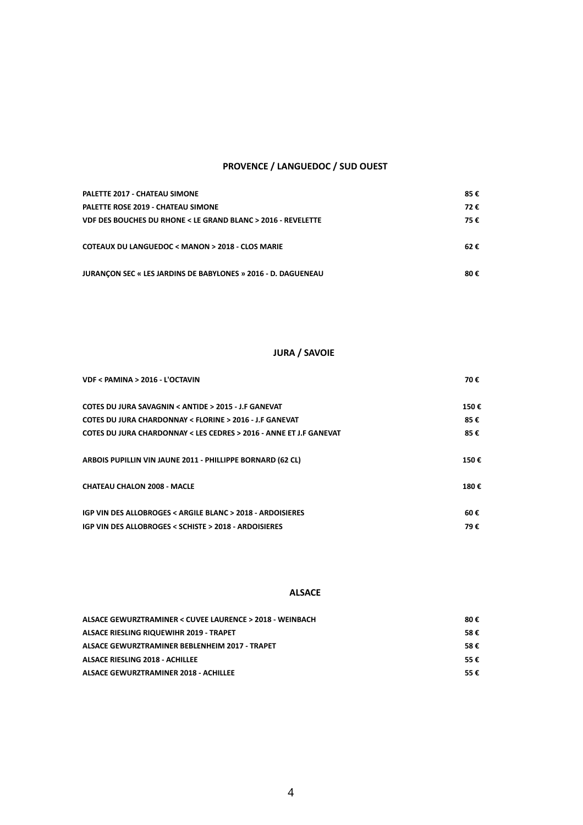# **PROVENCE / LANGUEDOC / SUD OUEST**

| <b>PALETTE 2017 - CHATEAU SIMONE</b>                                 | 85€  |
|----------------------------------------------------------------------|------|
| <b>PALETTE ROSE 2019 - CHATEAU SIMONE</b>                            | 72 € |
| VDF DES BOUCHES DU RHONE < LE GRAND BLANC > 2016 - REVELETTE         | 75 € |
|                                                                      |      |
| <b>COTEAUX DU LANGUEDOC &lt; MANON &gt; 2018 - CLOS MARIE</b>        | 62€  |
|                                                                      |      |
| <b>JURANCON SEC « LES JARDINS DE BABYLONES » 2016 - D. DAGUENEAU</b> | 80€  |

## **JURA / SAVOIE**

| VDF < PAMINA > 2016 - L'OCTAVIN                                    | 70€  |
|--------------------------------------------------------------------|------|
| COTES DU JURA SAVAGNIN < ANTIDE > 2015 - J.F GANEVAT               | 150€ |
| COTES DU JURA CHARDONNAY < FLORINE > 2016 - J.F GANEVAT            | 85€  |
| COTES DU JURA CHARDONNAY < LES CEDRES > 2016 - ANNE ET J.F GANEVAT | 85€  |
| ARBOIS PUPILLIN VIN JAUNE 2011 - PHILLIPPE BORNARD (62 CL)         | 150€ |
| <b>CHATEAU CHALON 2008 - MACLE</b>                                 | 180€ |
| IGP VIN DES ALLOBROGES < ARGILE BLANC > 2018 - ARDOISIERES         | 60€  |
| IGP VIN DES ALLOBROGES < SCHISTE > 2018 - ARDOISIERES              | 79 € |

# **ALSACE**

| ALSACE GEWURZTRAMINER < CUVEE LAURENCE > 2018 - WEINBACH | 80€ |
|----------------------------------------------------------|-----|
| ALSACE RIESLING RIQUEWIHR 2019 - TRAPET                  | 58€ |
| ALSACE GEWURZTRAMINER BEBLENHEIM 2017 - TRAPET           | 58€ |
| ALSACE RIESLING 2018 - ACHILLEE                          | 55€ |
| ALSACE GEWURZTRAMINER 2018 - ACHILLEE                    | 55€ |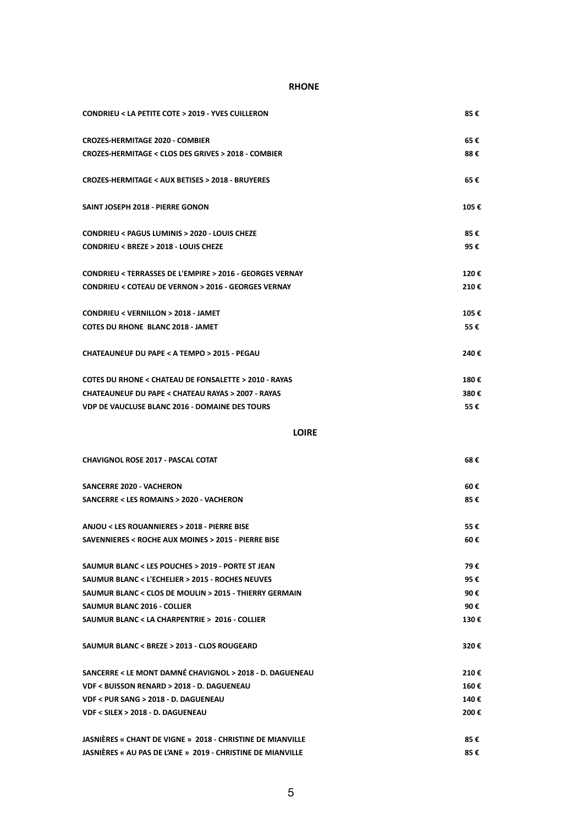# **RHONE**

| CONDRIEU < LA PETITE COTE > 2019 - YVES CUILLERON                  | 85€  |
|--------------------------------------------------------------------|------|
| <b>CROZES-HERMITAGE 2020 - COMBIER</b>                             | 65€  |
| CROZES-HERMITAGE < CLOS DES GRIVES > 2018 - COMBIER                | 88€  |
| CROZES-HERMITAGE < AUX BETISES > 2018 - BRUYERES                   | 65€  |
| SAINT JOSEPH 2018 - PIERRE GONON                                   | 105€ |
| CONDRIEU < PAGUS LUMINIS > 2020 - LOUIS CHEZE                      | 85€  |
| <b>CONDRIEU &lt; BREZE &gt; 2018 - LOUIS CHEZE</b>                 | 95€  |
| CONDRIEU < TERRASSES DE L'EMPIRE > 2016 - GEORGES VERNAY           | 120€ |
| <b>CONDRIEU &lt; COTEAU DE VERNON &gt; 2016 - GEORGES VERNAY</b>   | 210€ |
| <b>CONDRIEU &lt; VERNILLON &gt; 2018 - JAMET</b>                   | 105€ |
| <b>COTES DU RHONE BLANC 2018 - JAMET</b>                           | 55€  |
| <b>CHATEAUNEUF DU PAPE &lt; A TEMPO &gt; 2015 - PEGAU</b>          | 240€ |
| <b>COTES DU RHONE &lt; CHATEAU DE FONSALETTE &gt; 2010 - RAYAS</b> | 180€ |
| CHATEAUNEUF DU PAPE < CHATEAU RAYAS > 2007 - RAYAS                 | 380€ |
| <b>VDP DE VAUCLUSE BLANC 2016 - DOMAINE DES TOURS</b>              | 55€  |
| <b>LOIRE</b>                                                       |      |
| <b>CHAVIGNOL ROSE 2017 - PASCAL COTAT</b>                          | 68€  |
| <b>SANCERRE 2020 - VACHERON</b>                                    | 60€  |
| SANCERRE < LES ROMAINS > 2020 - VACHERON                           | 85€  |
| ANJOU < LES ROUANNIERES > 2018 - PIERRE BISE                       | 55€  |
| SAVENNIERES < ROCHE AUX MOINES > 2015 - PIERRE BISE                | 60€  |
| SAUMUR BLANC < LES POUCHES > 2019 - PORTE ST JEAN                  | 79€  |
| SAUMUR BLANC < L'ECHELIER > 2015 - ROCHES NEUVES                   | 95€  |
| SAUMUR BLANC < CLOS DE MOULIN > 2015 - THIERRY GERMAIN             | 90€  |
| <b>SAUMUR BLANC 2016 - COLLIER</b>                                 | 90€  |
| SAUMUR BLANC < LA CHARPENTRIE > 2016 - COLLIER                     | 130€ |
| SAUMUR BLANC < BREZE > 2013 - CLOS ROUGEARD                        | 320€ |
| SANCERRE < LE MONT DAMNÉ CHAVIGNOL > 2018 - D. DAGUENEAU           | 210€ |
| VDF < BUISSON RENARD > 2018 - D. DAGUENEAU                         | 160€ |
| VDF < PUR SANG > 2018 - D. DAGUENEAU                               | 140€ |
| VDF < SILEX > 2018 - D. DAGUENEAU                                  | 200€ |
|                                                                    |      |

| JASNIÈRES « CHANT DE VIGNE » 2018 - CHRISTINE DE MIANVILLE  | 85€ |
|-------------------------------------------------------------|-----|
| JASNIÈRES « AU PAS DE L'ANE » 2019 - CHRISTINE DE MIANVILLE | 85€ |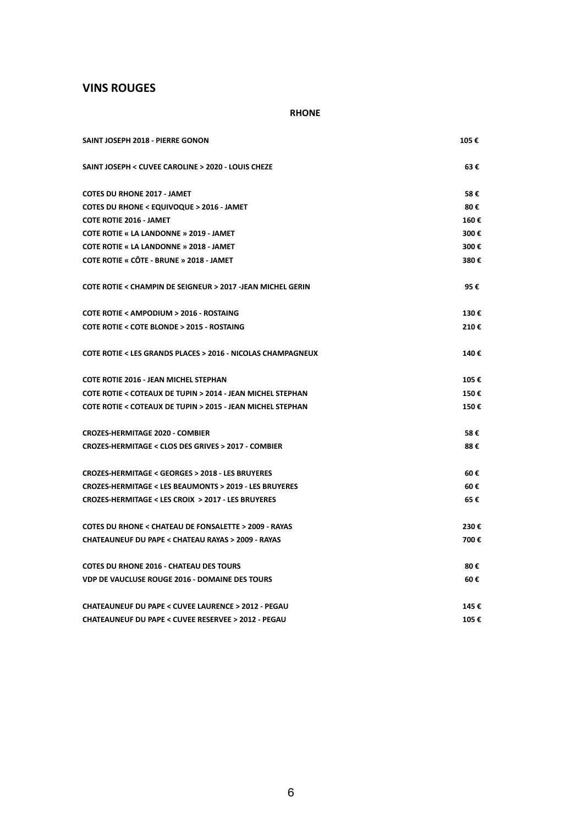# **VINS ROUGES**

#### **RHONE**

| SAINT JOSEPH 2018 - PIERRE GONON                                   | 105€  |
|--------------------------------------------------------------------|-------|
| SAINT JOSEPH < CUVEE CAROLINE > 2020 - LOUIS CHEZE                 | 63€   |
| <b>COTES DU RHONE 2017 - JAMET</b>                                 | 58€   |
| COTES DU RHONE < EQUIVOQUE > 2016 - JAMET                          | 80€   |
| <b>COTE ROTIE 2016 - JAMET</b>                                     | 160€  |
| <b>COTE ROTIE « LA LANDONNE » 2019 - JAMET</b>                     | 300€  |
| <b>COTE ROTIE « LA LANDONNE » 2018 - JAMET</b>                     | 300€  |
| COTE ROTIE « CÔTE - BRUNE » 2018 - JAMET                           | 380€  |
| COTE ROTIE < CHAMPIN DE SEIGNEUR > 2017 -JEAN MICHEL GERIN         | 95€   |
| <b>COTE ROTIE &lt; AMPODIUM &gt; 2016 - ROSTAING</b>               | 130€  |
| <b>COTE ROTIE &lt; COTE BLONDE &gt; 2015 - ROSTAING</b>            | 210€  |
| COTE ROTIE < LES GRANDS PLACES > 2016 - NICOLAS CHAMPAGNEUX        | 140 € |
| <b>COTE ROTIE 2016 - JEAN MICHEL STEPHAN</b>                       | 105€  |
| COTE ROTIE < COTEAUX DE TUPIN > 2014 - JEAN MICHEL STEPHAN         | 150€  |
| COTE ROTIE < COTEAUX DE TUPIN > 2015 - JEAN MICHEL STEPHAN         | 150€  |
| <b>CROZES-HERMITAGE 2020 - COMBIER</b>                             | 58€   |
| CROZES-HERMITAGE < CLOS DES GRIVES > 2017 - COMBIER                | 88€   |
| CROZES-HERMITAGE < GEORGES > 2018 - LES BRUYERES                   | 60€   |
| CROZES-HERMITAGE < LES BEAUMONTS > 2019 - LES BRUYERES             | 60€   |
| CROZES-HERMITAGE < LES CROIX > 2017 - LES BRUYERES                 | 65€   |
| <b>COTES DU RHONE &lt; CHATEAU DE FONSALETTE &gt; 2009 - RAYAS</b> | 230€  |
| CHATEAUNEUF DU PAPE < CHATEAU RAYAS > 2009 - RAYAS                 | 700€  |
| <b>COTES DU RHONE 2016 - CHATEAU DES TOURS</b>                     | 80€   |
| <b>VDP DE VAUCLUSE ROUGE 2016 - DOMAINE DES TOURS</b>              | 60€   |
| <b>CHATEAUNEUF DU PAPE &lt; CUVEE LAURENCE &gt; 2012 - PEGAU</b>   | 145€  |
| <b>CHATEAUNEUF DU PAPE &lt; CUVEE RESERVEE &gt; 2012 - PEGAU</b>   | 105€  |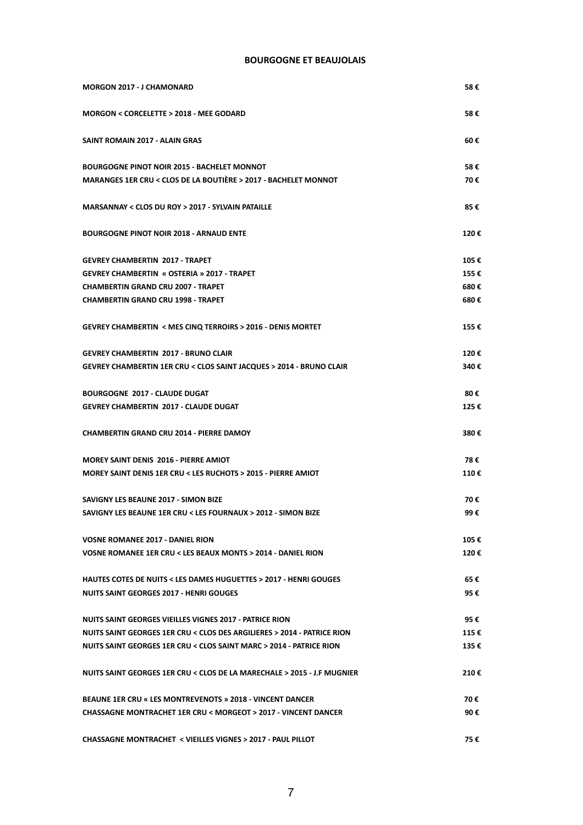#### **BOURGOGNE ET BEAUJOLAIS**

| <b>MORGON 2017 - J CHAMONARD</b>                                                 | 58€  |
|----------------------------------------------------------------------------------|------|
| MORGON < CORCELETTE > 2018 - MEE GODARD                                          | 58€  |
| <b>SAINT ROMAIN 2017 - ALAIN GRAS</b>                                            | 60€  |
| <b>BOURGOGNE PINOT NOIR 2015 - BACHELET MONNOT</b>                               | 58€  |
| <b>MARANGES 1ER CRU &lt; CLOS DE LA BOUTIÈRE &gt; 2017 - BACHELET MONNOT</b>     | 70€  |
| MARSANNAY < CLOS DU ROY > 2017 - SYLVAIN PATAILLE                                | 85€  |
| <b>BOURGOGNE PINOT NOIR 2018 - ARNAUD ENTE</b>                                   | 120€ |
| <b>GEVREY CHAMBERTIN 2017 - TRAPET</b>                                           | 105€ |
| <b>GEVREY CHAMBERTIN « OSTERIA » 2017 - TRAPET</b>                               | 155€ |
| <b>CHAMBERTIN GRAND CRU 2007 - TRAPET</b>                                        | 680€ |
| <b>CHAMBERTIN GRAND CRU 1998 - TRAPET</b>                                        | 680€ |
| <b>GEVREY CHAMBERTIN &lt; MES CINQ TERROIRS &gt; 2016 - DENIS MORTET</b>         | 155€ |
| <b>GEVREY CHAMBERTIN 2017 - BRUNO CLAIR</b>                                      | 120€ |
| <b>GEVREY CHAMBERTIN 1ER CRU &lt; CLOS SAINT JACQUES &gt; 2014 - BRUNO CLAIR</b> | 340€ |
| <b>BOURGOGNE 2017 - CLAUDE DUGAT</b>                                             | 80€  |
| <b>GEVREY CHAMBERTIN 2017 - CLAUDE DUGAT</b>                                     | 125€ |
| <b>CHAMBERTIN GRAND CRU 2014 - PIERRE DAMOY</b>                                  | 380€ |
| <b>MOREY SAINT DENIS 2016 - PIERRE AMIOT</b>                                     | 78 € |
| MOREY SAINT DENIS 1ER CRU < LES RUCHOTS > 2015 - PIERRE AMIOT                    | 110€ |
| SAVIGNY LES BEAUNE 2017 - SIMON BIZE                                             | 70 € |
| SAVIGNY LES BEAUNE 1ER CRU < LES FOURNAUX > 2012 - SIMON BIZE                    | 99 € |
| <b>VOSNE ROMANEE 2017 - DANIEL RION</b>                                          | 105€ |
| VOSNE ROMANEE 1ER CRU < LES BEAUX MONTS > 2014 - DANIEL RION                     | 120€ |
| <b>HAUTES COTES DE NUITS &lt; LES DAMES HUGUETTES &gt; 2017 - HENRI GOUGES</b>   | 65 € |
| <b>NUITS SAINT GEORGES 2017 - HENRI GOUGES</b>                                   | 95 € |
| NUITS SAINT GEORGES VIEILLES VIGNES 2017 - PATRICE RION                          | 95€  |
| NUITS SAINT GEORGES 1ER CRU < CLOS DES ARGILIERES > 2014 - PATRICE RION          | 115€ |
| NUITS SAINT GEORGES 1ER CRU < CLOS SAINT MARC > 2014 - PATRICE RION              | 135€ |
|                                                                                  |      |
| NUITS SAINT GEORGES 1ER CRU < CLOS DE LA MARECHALE > 2015 - J.F MUGNIER          | 210€ |
| <b>BEAUNE 1ER CRU « LES MONTREVENOTS » 2018 - VINCENT DANCER</b>                 | 70 € |
| <b>CHASSAGNE MONTRACHET 1ER CRU &lt; MORGEOT &gt; 2017 - VINCENT DANCER</b>      | 90€  |
| CHASSAGNE MONTRACHET < VIEILLES VIGNES > 2017 - PAUL PILLOT                      | 75 € |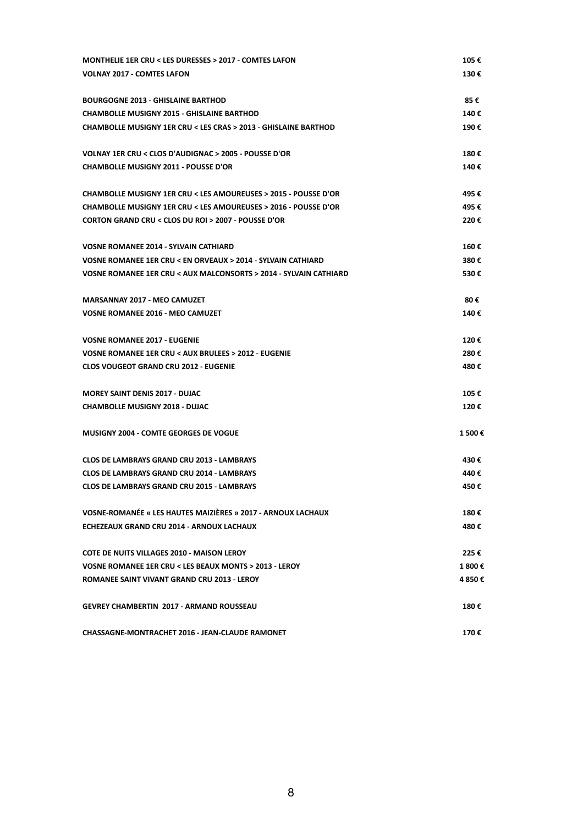| MONTHELIE 1ER CRU < LES DURESSES > 2017 - COMTES LAFON                       | 105€   |
|------------------------------------------------------------------------------|--------|
| <b>VOLNAY 2017 - COMTES LAFON</b>                                            | 130€   |
| <b>BOURGOGNE 2013 - GHISLAINE BARTHOD</b>                                    | 85€    |
| <b>CHAMBOLLE MUSIGNY 2015 - GHISLAINE BARTHOD</b>                            | 140€   |
| <b>CHAMBOLLE MUSIGNY 1ER CRU &lt; LES CRAS &gt; 2013 - GHISLAINE BARTHOD</b> | 190€   |
| VOLNAY 1ER CRU < CLOS D'AUDIGNAC > 2005 - POUSSE D'OR                        | 180€   |
| <b>CHAMBOLLE MUSIGNY 2011 - POUSSE D'OR</b>                                  | 140€   |
| CHAMBOLLE MUSIGNY 1ER CRU < LES AMOUREUSES > 2015 - POUSSE D'OR              | 495€   |
| CHAMBOLLE MUSIGNY 1ER CRU < LES AMOUREUSES > 2016 - POUSSE D'OR              | 495€   |
| CORTON GRAND CRU < CLOS DU ROI > 2007 - POUSSE D'OR                          | 220€   |
| <b>VOSNE ROMANEE 2014 - SYLVAIN CATHIARD</b>                                 | 160€   |
| <b>VOSNE ROMANEE 1ER CRU &lt; EN ORVEAUX &gt; 2014 - SYLVAIN CATHIARD</b>    | 380€   |
| VOSNE ROMANEE 1ER CRU < AUX MALCONSORTS > 2014 - SYLVAIN CATHIARD            | 530€   |
| <b>MARSANNAY 2017 - MEO CAMUZET</b>                                          | 80€    |
| <b>VOSNE ROMANEE 2016 - MEO CAMUZET</b>                                      | 140€   |
| <b>VOSNE ROMANEE 2017 - EUGENIE</b>                                          | 120€   |
| <b>VOSNE ROMANEE 1ER CRU &lt; AUX BRULEES &gt; 2012 - EUGENIE</b>            | 280€   |
| <b>CLOS VOUGEOT GRAND CRU 2012 - EUGENIE</b>                                 | 480 €  |
| <b>MOREY SAINT DENIS 2017 - DUJAC</b>                                        | 105€   |
| <b>CHAMBOLLE MUSIGNY 2018 - DUJAC</b>                                        | 120€   |
| <b>MUSIGNY 2004 - COMTE GEORGES DE VOGUE</b>                                 | 1500€  |
| <b>CLOS DE LAMBRAYS GRAND CRU 2013 - LAMBRAYS</b>                            | 430 €  |
| <b>CLOS DE LAMBRAYS GRAND CRU 2014 - LAMBRAYS</b>                            | 440€   |
| <b>CLOS DE LAMBRAYS GRAND CRU 2015 - LAMBRAYS</b>                            | 450€   |
| VOSNE-ROMANÉE « LES HAUTES MAIZIÈRES » 2017 - ARNOUX LACHAUX                 | 180€   |
| ECHEZEAUX GRAND CRU 2014 - ARNOUX LACHAUX                                    | 480€   |
| <b>COTE DE NUITS VILLAGES 2010 - MAISON LEROY</b>                            | 225€   |
| VOSNE ROMANEE 1ER CRU < LES BEAUX MONTS > 2013 - LEROY                       | 1 800€ |
| <b>ROMANEE SAINT VIVANT GRAND CRU 2013 - LEROY</b>                           | 4850€  |
| <b>GEVREY CHAMBERTIN 2017 - ARMAND ROUSSEAU</b>                              | 180€   |
| <b>CHASSAGNE-MONTRACHET 2016 - JEAN-CLAUDE RAMONET</b>                       | 170€   |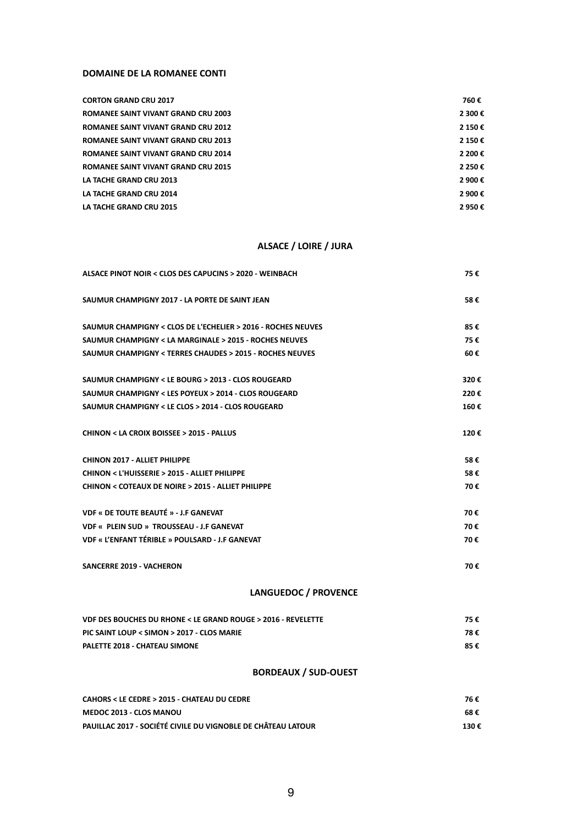### **DOMAINE DE LA ROMANEE CONTI**

| <b>CORTON GRAND CRU 2017</b>               | 760€    |
|--------------------------------------------|---------|
| <b>ROMANEE SAINT VIVANT GRAND CRU 2003</b> | 2 300 € |
| <b>ROMANEE SAINT VIVANT GRAND CRU 2012</b> | 2 150 € |
| <b>ROMANEE SAINT VIVANT GRAND CRU 2013</b> | 2 150 € |
| ROMANEE SAINT VIVANT GRAND CRU 2014        | 2 200€  |
| <b>ROMANEE SAINT VIVANT GRAND CRU 2015</b> | 2 250€  |
| LA TACHE GRAND CRU 2013                    | 2 900 € |
| LA TACHE GRAND CRU 2014                    | 2 900 € |
| LA TACHE GRAND CRU 2015                    | 2 950 € |

## **ALSACE / LOIRE / JURA**

| ALSACE PINOT NOIR < CLOS DES CAPUCINS > 2020 - WEINBACH         | 75€  |
|-----------------------------------------------------------------|------|
| SAUMUR CHAMPIGNY 2017 - LA PORTE DE SAINT JEAN                  | 58€  |
| SAUMUR CHAMPIGNY < CLOS DE L'ECHELIER > 2016 - ROCHES NEUVES    | 85€  |
| SAUMUR CHAMPIGNY < LA MARGINALE > 2015 - ROCHES NEUVES          | 75€  |
| SAUMUR CHAMPIGNY < TERRES CHAUDES > 2015 - ROCHES NEUVES        | 60€  |
| SAUMUR CHAMPIGNY < LE BOURG > 2013 - CLOS ROUGEARD              | 320€ |
| SAUMUR CHAMPIGNY < LES POYEUX > 2014 - CLOS ROUGEARD            | 220€ |
| SAUMUR CHAMPIGNY < LE CLOS > 2014 - CLOS ROUGEARD               | 160€ |
| <b>CHINON &lt; LA CROIX BOISSEE &gt; 2015 - PALLUS</b>          | 120€ |
| <b>CHINON 2017 - ALLIET PHILIPPE</b>                            | 58€  |
| <b>CHINON &lt; L'HUISSERIE &gt; 2015 - ALLIET PHILIPPE</b>      | 58€  |
| <b>CHINON &lt; COTEAUX DE NOIRE &gt; 2015 - ALLIET PHILIPPE</b> | 70€  |
| <b>VDF « DE TOUTE BEAUTÉ » - J.F GANEVAT</b>                    | 70€  |
| <b>VDF « PLEIN SUD » TROUSSEAU - J.F GANEVAT</b>                | 70€  |
| <b>VDF « L'ENFANT TÉRIBLE » POULSARD - J.F GANEVAT</b>          | 70€  |
| <b>SANCERRE 2019 - VACHERON</b>                                 | 70€  |
| <b>LANGUEDOC / PROVENCE</b>                                     |      |
| VDF DES BOUCHES DU RHONE < LE GRAND ROUGE > 2016 - REVELETTE    | 75€  |
| PIC SAINT LOUP < SIMON > 2017 - CLOS MARIE                      | 78€  |
| PALETTE 2018 - CHATEAU SIMONE                                   | 85€  |
| <b>BORDEAUX / SUD-OUEST</b>                                     |      |
| CAHORS < LE CEDRE > 2015 - CHATEAU DU CEDRE                     | 76 € |
| <b>MEDOC 2013 - CLOS MANOU</b>                                  | 68€  |

**PAUILLAC 2017 - SOCIÉTÉ CIVILE DU VIGNOBLE DE CHÂTEAU LATOUR 130 €**